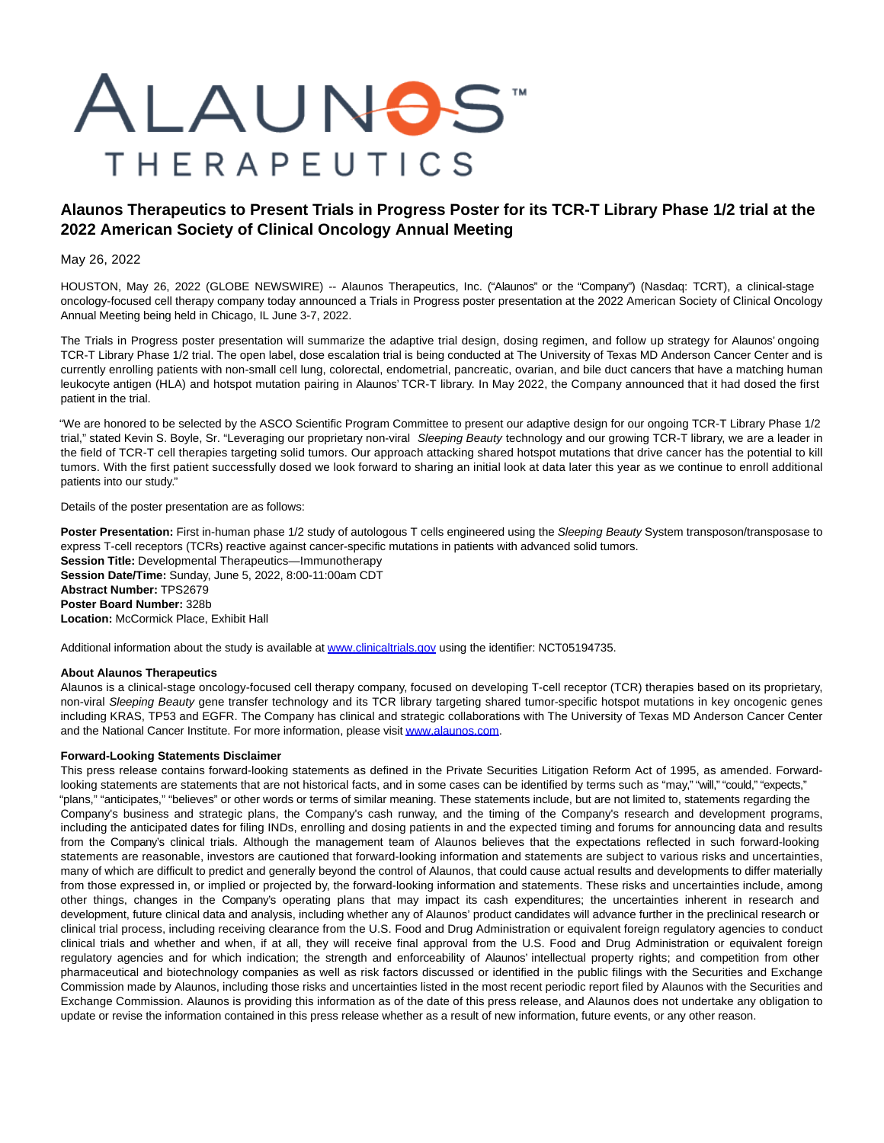# ALAUNOS" **THERAPEUTICS**

# **Alaunos Therapeutics to Present Trials in Progress Poster for its TCR-T Library Phase 1/2 trial at the 2022 American Society of Clinical Oncology Annual Meeting**

May 26, 2022

HOUSTON, May 26, 2022 (GLOBE NEWSWIRE) -- Alaunos Therapeutics, Inc. ("Alaunos" or the "Company") (Nasdaq: TCRT), a clinical-stage oncology-focused cell therapy company today announced a Trials in Progress poster presentation at the 2022 American Society of Clinical Oncology Annual Meeting being held in Chicago, IL June 3-7, 2022.

The Trials in Progress poster presentation will summarize the adaptive trial design, dosing regimen, and follow up strategy for Alaunos' ongoing TCR-T Library Phase 1/2 trial. The open label, dose escalation trial is being conducted at The University of Texas MD Anderson Cancer Center and is currently enrolling patients with non-small cell lung, colorectal, endometrial, pancreatic, ovarian, and bile duct cancers that have a matching human leukocyte antigen (HLA) and hotspot mutation pairing in Alaunos' TCR-T library. In May 2022, the Company announced that it had dosed the first patient in the trial.

"We are honored to be selected by the ASCO Scientific Program Committee to present our adaptive design for our ongoing TCR-T Library Phase 1/2 trial," stated Kevin S. Boyle, Sr. "Leveraging our proprietary non-viral Sleeping Beauty technology and our growing TCR-T library, we are a leader in the field of TCR-T cell therapies targeting solid tumors. Our approach attacking shared hotspot mutations that drive cancer has the potential to kill tumors. With the first patient successfully dosed we look forward to sharing an initial look at data later this year as we continue to enroll additional patients into our study."

## Details of the poster presentation are as follows:

Poster Presentation: First in-human phase 1/2 study of autologous T cells engineered using the Sleeping Beauty System transposon/transposase to express T-cell receptors (TCRs) reactive against cancer-specific mutations in patients with advanced solid tumors. **Session Title:** Developmental Therapeutics—Immunotherapy **Session Date/Time:** Sunday, June 5, 2022, 8:00-11:00am CDT **Abstract Number:** TPS2679 **Poster Board Number:** 328b **Location:** McCormick Place, Exhibit Hall

Additional information about the study is available a[t www.clinicaltrials.gov u](https://www.globenewswire.com/Tracker?data=FMN5wYP5vn6ZN8KImRrsbqnZKlQ3CrBJdABIAa5JwDrX2O6BeW0VZw4-rflCCzEL1j6kok4-tSVydp-VzrPHGC3XR12yDti694ScNGq-YiA=)sing the identifier: NCT05194735.

## **About Alaunos Therapeutics**

Alaunos is a clinical-stage oncology-focused cell therapy company, focused on developing T-cell receptor (TCR) therapies based on its proprietary, non-viral Sleeping Beauty gene transfer technology and its TCR library targeting shared tumor-specific hotspot mutations in key oncogenic genes including KRAS, TP53 and EGFR. The Company has clinical and strategic collaborations with The University of Texas MD Anderson Cancer Center and the National Cancer Institute. For more information, please visi[t www.alaunos.com.](https://www.globenewswire.com/Tracker?data=RyhJiXIOe-3wDXIxDwfiklE-iAVXRTzTcy7wgaqe_fhsMrnL4VBM8x1EVVItw-C84A0YXS8rNXUt9OsQcUC3CQ==)

## **Forward-Looking Statements Disclaimer**

This press release contains forward-looking statements as defined in the Private Securities Litigation Reform Act of 1995, as amended. Forwardlooking statements are statements that are not historical facts, and in some cases can be identified by terms such as "may," "will," "could," "expects," "plans," "anticipates," "believes" or other words or terms of similar meaning. These statements include, but are not limited to, statements regarding the Company's business and strategic plans, the Company's cash runway, and the timing of the Company's research and development programs, including the anticipated dates for filing INDs, enrolling and dosing patients in and the expected timing and forums for announcing data and results from the Company's clinical trials. Although the management team of Alaunos believes that the expectations reflected in such forward-looking statements are reasonable, investors are cautioned that forward-looking information and statements are subject to various risks and uncertainties, many of which are difficult to predict and generally beyond the control of Alaunos, that could cause actual results and developments to differ materially from those expressed in, or implied or projected by, the forward-looking information and statements. These risks and uncertainties include, among other things, changes in the Company's operating plans that may impact its cash expenditures; the uncertainties inherent in research and development, future clinical data and analysis, including whether any of Alaunos' product candidates will advance further in the preclinical research or clinical trial process, including receiving clearance from the U.S. Food and Drug Administration or equivalent foreign regulatory agencies to conduct clinical trials and whether and when, if at all, they will receive final approval from the U.S. Food and Drug Administration or equivalent foreign regulatory agencies and for which indication; the strength and enforceability of Alaunos' intellectual property rights; and competition from other pharmaceutical and biotechnology companies as well as risk factors discussed or identified in the public filings with the Securities and Exchange Commission made by Alaunos, including those risks and uncertainties listed in the most recent periodic report filed by Alaunos with the Securities and Exchange Commission. Alaunos is providing this information as of the date of this press release, and Alaunos does not undertake any obligation to update or revise the information contained in this press release whether as a result of new information, future events, or any other reason.